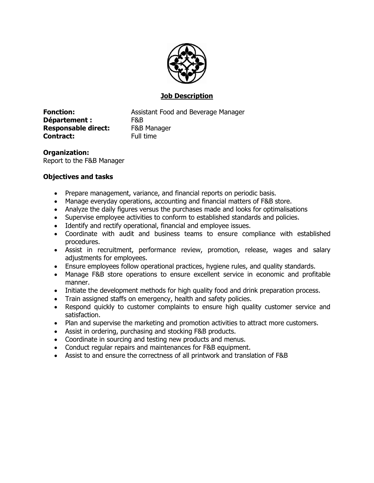

# **Job Description**

**Département :** F&B **Responsable direct:** F&B Manager **Contract:** Full time

**Fonction:** Assistant Food and Beverage Manager

**Organization:** Report to the F&B Manager

# **Objectives and tasks**

- Prepare management, variance, and financial reports on periodic basis.
- Manage everyday operations, accounting and financial matters of F&B store.
- Analyze the daily figures versus the purchases made and looks for optimalisations
- Supervise employee activities to conform to established standards and policies.
- Identify and rectify operational, financial and employee issues.
- Coordinate with audit and business teams to ensure compliance with established procedures.
- Assist in recruitment, performance review, promotion, release, wages and salary adjustments for employees.
- Ensure employees follow operational practices, hygiene rules, and quality standards.
- Manage F&B store operations to ensure excellent service in economic and profitable manner.
- Initiate the development methods for high quality food and drink preparation process.
- Train assigned staffs on emergency, health and safety policies.
- Respond quickly to customer complaints to ensure high quality customer service and satisfaction.
- Plan and supervise the marketing and promotion activities to attract more customers.
- Assist in ordering, purchasing and stocking F&B products.
- Coordinate in sourcing and testing new products and menus.
- Conduct regular repairs and maintenances for F&B equipment.
- Assist to and ensure the correctness of all printwork and translation of F&B